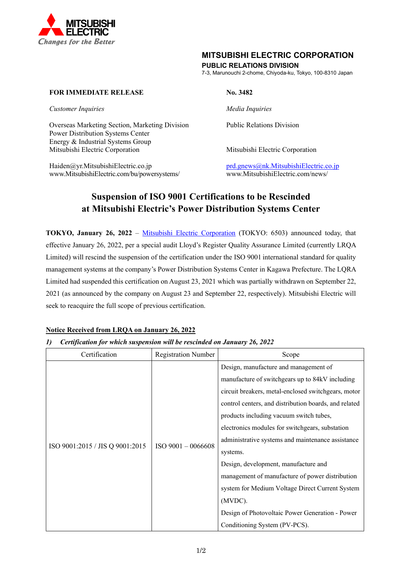

## **MITSUBISHI ELECTRIC CORPORATION**

## **PUBLIC RELATIONS DIVISION**

7-3, Marunouchi 2-chome, Chiyoda-ku, Tokyo, 100-8310 Japan

## **FOR IMMEDIATE RELEASE No. 3482**

*Customer Inquiries Media Inquiries*

Overseas Marketing Section, Marketing Division Public Relations Division Power Distribution Systems Center Energy & Industrial Systems Group Mitsubishi Electric Corporation Mitsubishi Electric Corporation

Haiden@yr.MitsubishiElectric.co.jp<br>www.MitsubishiElectric.com/bu/powersystems/<br>www.MitsubishiElectric.com/news/ www.MitsubishiElectric.com/bu/powersystems/

# **Suspension of ISO 9001 Certifications to be Rescinded at Mitsubishi Electric's Power Distribution Systems Center**

**TOKYO, January 26, 2022** – [Mitsubishi Electric Corporation](http://www.mitsubishielectric.com/) (TOKYO: 6503) announced today, that effective January 26, 2022, per a special audit Lloyd's Register Quality Assurance Limited (currently LRQA Limited) will rescind the suspension of the certification under the ISO 9001 international standard for quality management systems at the company's Power Distribution Systems Center in Kagawa Prefecture. The LQRA Limited had suspended this certification on August 23, 2021 which was partially withdrawn on September 22, 2021 (as announced by the company on August 23 and September 22, respectively). Mitsubishi Electric will seek to reacquire the full scope of previous certification.

## **Notice Received from LRQA on January 26, 2022**

### *1) Certification for which suspension will be rescinded on January 26, 2022*

| Certification                   | <b>Registration Number</b> | Scope                                                 |
|---------------------------------|----------------------------|-------------------------------------------------------|
| ISO 9001:2015 / JIS Q 9001:2015 | $ISO$ 9001 - 0066608       | Design, manufacture and management of                 |
|                                 |                            | manufacture of switchgears up to 84kV including       |
|                                 |                            | circuit breakers, metal-enclosed switchgears, motor   |
|                                 |                            | control centers, and distribution boards, and related |
|                                 |                            | products including vacuum switch tubes,               |
|                                 |                            | electronics modules for switchgears, substation       |
|                                 |                            | administrative systems and maintenance assistance     |
|                                 |                            | systems.                                              |
|                                 |                            | Design, development, manufacture and                  |
|                                 |                            | management of manufacture of power distribution       |
|                                 |                            | system for Medium Voltage Direct Current System       |
|                                 |                            | (MVDC).                                               |
|                                 |                            | Design of Photovoltaic Power Generation - Power       |
|                                 |                            | Conditioning System (PV-PCS).                         |